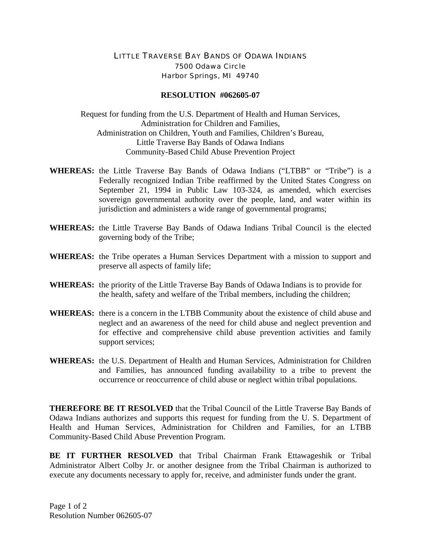## LITTLE TRAVERSE BAY BANDS OF ODAWA INDIANS 7500 Odawa Circle Harbor Springs, MI 49740

## **RESOLUTION #062605-07**

Request for funding from the U.S. Department of Health and Human Services, Administration for Children and Families, Administration on Children, Youth and Families, Children's Bureau, Little Traverse Bay Bands of Odawa Indians Community-Based Child Abuse Prevention Project

- **WHEREAS:** the Little Traverse Bay Bands of Odawa Indians ("LTBB" or "Tribe") is a Federally recognized Indian Tribe reaffirmed by the United States Congress on September 21, 1994 in Public Law 103-324, as amended, which exercises sovereign governmental authority over the people, land, and water within its jurisdiction and administers a wide range of governmental programs;
- **WHEREAS:** the Little Traverse Bay Bands of Odawa Indians Tribal Council is the elected governing body of the Tribe;
- **WHEREAS:** the Tribe operates a Human Services Department with a mission to support and preserve all aspects of family life;
- **WHEREAS:** the priority of the Little Traverse Bay Bands of Odawa Indians is to provide for the health, safety and welfare of the Tribal members, including the children;
- **WHEREAS:** there is a concern in the LTBB Community about the existence of child abuse and neglect and an awareness of the need for child abuse and neglect prevention and for effective and comprehensive child abuse prevention activities and family support services;
- **WHEREAS:** the U.S. Department of Health and Human Services, Administration for Children and Families, has announced funding availability to a tribe to prevent the occurrence or reoccurrence of child abuse or neglect within tribal populations.

**THEREFORE BE IT RESOLVED** that the Tribal Council of the Little Traverse Bay Bands of Odawa Indians authorizes and supports this request for funding from the U. S. Department of Health and Human Services, Administration for Children and Families, for an LTBB Community-Based Child Abuse Prevention Program.

**BE IT FURTHER RESOLVED** that Tribal Chairman Frank Ettawageshik or Tribal Administrator Albert Colby Jr. or another designee from the Tribal Chairman is authorized to execute any documents necessary to apply for, receive, and administer funds under the grant.